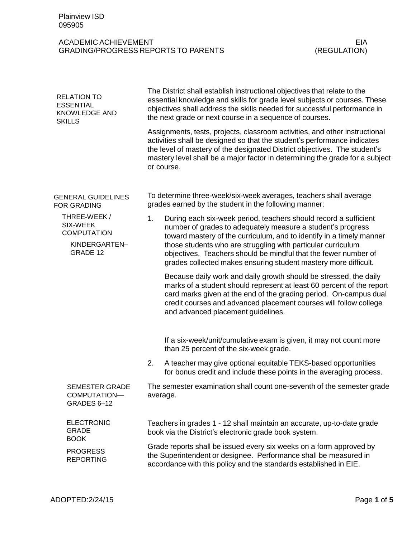## ACADEMIC ACHIEVEMENT GRADING/PROGRESS REPORTS TO PARENTS

| <b>RELATION TO</b><br><b>ESSENTIAL</b><br><b>KNOWLEDGE AND</b><br><b>SKILLS</b> | The District shall establish instructional objectives that relate to the<br>essential knowledge and skills for grade level subjects or courses. These<br>objectives shall address the skills needed for successful performance in<br>the next grade or next course in a sequence of courses.                                                                                                                        |  |  |
|---------------------------------------------------------------------------------|---------------------------------------------------------------------------------------------------------------------------------------------------------------------------------------------------------------------------------------------------------------------------------------------------------------------------------------------------------------------------------------------------------------------|--|--|
|                                                                                 | Assignments, tests, projects, classroom activities, and other instructional<br>activities shall be designed so that the student's performance indicates<br>the level of mastery of the designated District objectives. The student's<br>mastery level shall be a major factor in determining the grade for a subject<br>or course.                                                                                  |  |  |
| <b>GENERAL GUIDELINES</b><br><b>FOR GRADING</b>                                 | To determine three-week/six-week averages, teachers shall average<br>grades earned by the student in the following manner:                                                                                                                                                                                                                                                                                          |  |  |
| THREE-WEEK/<br>SIX-WEEK<br><b>COMPUTATION</b><br>KINDERGARTEN-<br>GRADE 12      | 1.<br>During each six-week period, teachers should record a sufficient<br>number of grades to adequately measure a student's progress<br>toward mastery of the curriculum, and to identify in a timely manner<br>those students who are struggling with particular curriculum<br>objectives. Teachers should be mindful that the fewer number of<br>grades collected makes ensuring student mastery more difficult. |  |  |
|                                                                                 | Because daily work and daily growth should be stressed, the daily<br>marks of a student should represent at least 60 percent of the report<br>card marks given at the end of the grading period. On-campus dual<br>credit courses and advanced placement courses will follow college<br>and advanced placement guidelines.                                                                                          |  |  |
|                                                                                 | If a six-week/unit/cumulative exam is given, it may not count more<br>than 25 percent of the six-week grade.                                                                                                                                                                                                                                                                                                        |  |  |
|                                                                                 | A teacher may give optional equitable TEKS-based opportunities<br>2.<br>for bonus credit and include these points in the averaging process.                                                                                                                                                                                                                                                                         |  |  |
| SEMESTER GRADE<br>COMPUTATION-<br>GRADES 6-12                                   | The semester examination shall count one-seventh of the semester grade<br>average.                                                                                                                                                                                                                                                                                                                                  |  |  |
| <b>ELECTRONIC</b><br><b>GRADE</b><br><b>BOOK</b>                                | Teachers in grades 1 - 12 shall maintain an accurate, up-to-date grade<br>book via the District's electronic grade book system.                                                                                                                                                                                                                                                                                     |  |  |
| <b>PROGRESS</b><br><b>REPORTING</b>                                             | Grade reports shall be issued every six weeks on a form approved by<br>the Superintendent or designee. Performance shall be measured in<br>accordance with this policy and the standards established in EIE.                                                                                                                                                                                                        |  |  |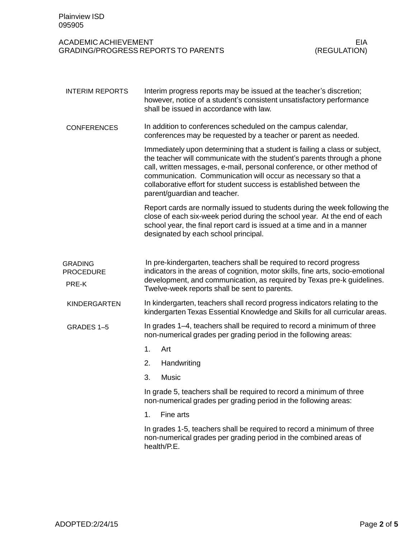| <b>Plainview ISD</b><br>095905              |                                                                                                                                                                                                                                                                                                                                                                                                           |                            |  |
|---------------------------------------------|-----------------------------------------------------------------------------------------------------------------------------------------------------------------------------------------------------------------------------------------------------------------------------------------------------------------------------------------------------------------------------------------------------------|----------------------------|--|
| <b>ACADEMIC ACHIEVEMENT</b>                 | <b>GRADING/PROGRESS REPORTS TO PARENTS</b>                                                                                                                                                                                                                                                                                                                                                                | <b>EIA</b><br>(REGULATION) |  |
| <b>INTERIM REPORTS</b>                      | Interim progress reports may be issued at the teacher's discretion;<br>however, notice of a student's consistent unsatisfactory performance<br>shall be issued in accordance with law.                                                                                                                                                                                                                    |                            |  |
| <b>CONFERENCES</b>                          | In addition to conferences scheduled on the campus calendar,<br>conferences may be requested by a teacher or parent as needed.                                                                                                                                                                                                                                                                            |                            |  |
|                                             | Immediately upon determining that a student is failing a class or subject,<br>the teacher will communicate with the student's parents through a phone<br>call, written messages, e-mail, personal conference, or other method of<br>communication. Communication will occur as necessary so that a<br>collaborative effort for student success is established between the<br>parent/guardian and teacher. |                            |  |
|                                             | Report cards are normally issued to students during the week following the<br>close of each six-week period during the school year. At the end of each<br>school year, the final report card is issued at a time and in a manner<br>designated by each school principal.                                                                                                                                  |                            |  |
| <b>GRADING</b><br><b>PROCEDURE</b><br>PRE-K | In pre-kindergarten, teachers shall be required to record progress<br>indicators in the areas of cognition, motor skills, fine arts, socio-emotional<br>development, and communication, as required by Texas pre-k guidelines.<br>Twelve-week reports shall be sent to parents.                                                                                                                           |                            |  |
| <b>KINDERGARTEN</b>                         | In kindergarten, teachers shall record progress indicators relating to the<br>kindergarten Texas Essential Knowledge and Skills for all curricular areas.                                                                                                                                                                                                                                                 |                            |  |
| GRADES 1-5                                  | In grades 1–4, teachers shall be required to record a minimum of three<br>non-numerical grades per grading period in the following areas:                                                                                                                                                                                                                                                                 |                            |  |
|                                             | 1.<br>Art                                                                                                                                                                                                                                                                                                                                                                                                 |                            |  |
|                                             | 2.<br>Handwriting                                                                                                                                                                                                                                                                                                                                                                                         |                            |  |
|                                             | 3.<br><b>Music</b>                                                                                                                                                                                                                                                                                                                                                                                        |                            |  |
|                                             | In grade 5, teachers shall be required to record a minimum of three<br>non-numerical grades per grading period in the following areas:                                                                                                                                                                                                                                                                    |                            |  |
|                                             | Fine arts<br>1.                                                                                                                                                                                                                                                                                                                                                                                           |                            |  |
|                                             | In grades 1-5, teachers shall be required to record a minimum of three<br>non-numerical grades per grading period in the combined areas of<br>health/P.E.                                                                                                                                                                                                                                                 |                            |  |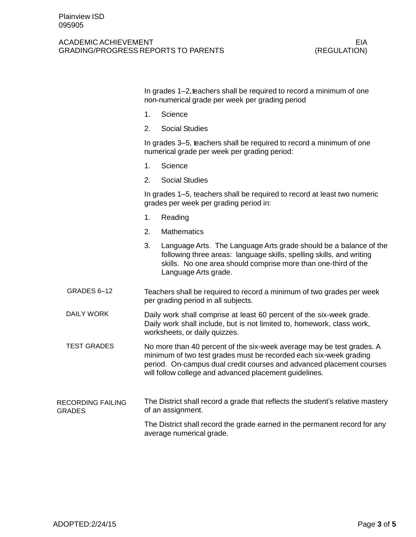## ACADEMIC ACHIEVEMENT GRADING/PROGRESS REPORTS TO PARENTS

|                                           | In grades 1–2, teachers shall be required to record a minimum of one<br>non-numerical grade per week per grading period                                                                                                                                                      |                                                                                                                                                                                                                                     |  |
|-------------------------------------------|------------------------------------------------------------------------------------------------------------------------------------------------------------------------------------------------------------------------------------------------------------------------------|-------------------------------------------------------------------------------------------------------------------------------------------------------------------------------------------------------------------------------------|--|
|                                           | 1.                                                                                                                                                                                                                                                                           | Science                                                                                                                                                                                                                             |  |
|                                           | 2.                                                                                                                                                                                                                                                                           | <b>Social Studies</b>                                                                                                                                                                                                               |  |
|                                           |                                                                                                                                                                                                                                                                              | In grades 3–5, teachers shall be required to record a minimum of one<br>numerical grade per week per grading period:                                                                                                                |  |
|                                           | 1.                                                                                                                                                                                                                                                                           | Science                                                                                                                                                                                                                             |  |
|                                           | 2.                                                                                                                                                                                                                                                                           | <b>Social Studies</b>                                                                                                                                                                                                               |  |
|                                           |                                                                                                                                                                                                                                                                              | In grades 1–5, teachers shall be required to record at least two numeric<br>grades per week per grading period in:                                                                                                                  |  |
|                                           | 1.                                                                                                                                                                                                                                                                           | Reading                                                                                                                                                                                                                             |  |
|                                           | 2.                                                                                                                                                                                                                                                                           | <b>Mathematics</b>                                                                                                                                                                                                                  |  |
|                                           | 3.                                                                                                                                                                                                                                                                           | Language Arts. The Language Arts grade should be a balance of the<br>following three areas: language skills, spelling skills, and writing<br>skills. No one area should comprise more than one-third of the<br>Language Arts grade. |  |
| GRADES 6-12                               | Teachers shall be required to record a minimum of two grades per week<br>per grading period in all subjects.                                                                                                                                                                 |                                                                                                                                                                                                                                     |  |
| DAILY WORK                                | Daily work shall comprise at least 60 percent of the six-week grade.<br>Daily work shall include, but is not limited to, homework, class work,<br>worksheets, or daily quizzes.                                                                                              |                                                                                                                                                                                                                                     |  |
| <b>TEST GRADES</b>                        | No more than 40 percent of the six-week average may be test grades. A<br>minimum of two test grades must be recorded each six-week grading<br>period. On-campus dual credit courses and advanced placement courses<br>will follow college and advanced placement guidelines. |                                                                                                                                                                                                                                     |  |
| <b>RECORDING FAILING</b><br><b>GRADES</b> | The District shall record a grade that reflects the student's relative mastery<br>of an assignment.                                                                                                                                                                          |                                                                                                                                                                                                                                     |  |
|                                           |                                                                                                                                                                                                                                                                              | The District shall record the grade earned in the permanent record for any<br>average numerical grade.                                                                                                                              |  |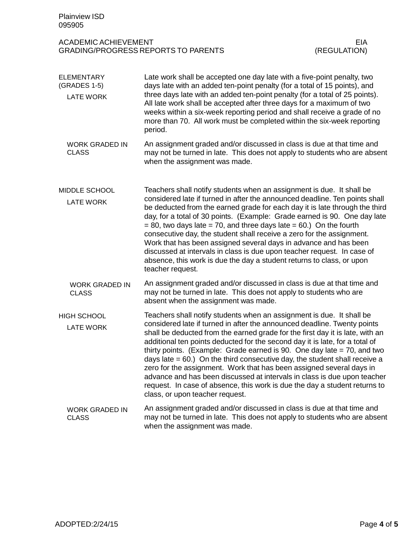| <b>Plainview ISD</b><br>095905                        |                                                                                                                                                                                                                                                                                                                                                                                                                                                                                                                                                                                                                                                                                                                                                        |                            |  |  |
|-------------------------------------------------------|--------------------------------------------------------------------------------------------------------------------------------------------------------------------------------------------------------------------------------------------------------------------------------------------------------------------------------------------------------------------------------------------------------------------------------------------------------------------------------------------------------------------------------------------------------------------------------------------------------------------------------------------------------------------------------------------------------------------------------------------------------|----------------------------|--|--|
| <b>ACADEMIC ACHIEVEMENT</b>                           | <b>GRADING/PROGRESS REPORTS TO PARENTS</b>                                                                                                                                                                                                                                                                                                                                                                                                                                                                                                                                                                                                                                                                                                             | <b>EIA</b><br>(REGULATION) |  |  |
| <b>ELEMENTARY</b><br>(GRADES 1-5)<br><b>LATE WORK</b> | Late work shall be accepted one day late with a five-point penalty, two<br>days late with an added ten-point penalty (for a total of 15 points), and<br>three days late with an added ten-point penalty (for a total of 25 points).<br>All late work shall be accepted after three days for a maximum of two<br>weeks within a six-week reporting period and shall receive a grade of no<br>more than 70. All work must be completed within the six-week reporting<br>period.                                                                                                                                                                                                                                                                          |                            |  |  |
| <b>WORK GRADED IN</b><br><b>CLASS</b>                 | An assignment graded and/or discussed in class is due at that time and<br>may not be turned in late. This does not apply to students who are absent<br>when the assignment was made.                                                                                                                                                                                                                                                                                                                                                                                                                                                                                                                                                                   |                            |  |  |
| MIDDLE SCHOOL<br><b>LATE WORK</b>                     | Teachers shall notify students when an assignment is due. It shall be<br>considered late if turned in after the announced deadline. Ten points shall<br>be deducted from the earned grade for each day it is late through the third<br>day, for a total of 30 points. (Example: Grade earned is 90. One day late<br>$= 80$ , two days late $= 70$ , and three days late $= 60$ .) On the fourth<br>consecutive day, the student shall receive a zero for the assignment.<br>Work that has been assigned several days in advance and has been<br>discussed at intervals in class is due upon teacher request. In case of<br>absence, this work is due the day a student returns to class, or upon<br>teacher request.                                   |                            |  |  |
| <b>WORK GRADED IN</b><br><b>CLASS</b>                 | An assignment graded and/or discussed in class is due at that time and<br>may not be turned in late. This does not apply to students who are<br>absent when the assignment was made.                                                                                                                                                                                                                                                                                                                                                                                                                                                                                                                                                                   |                            |  |  |
| <b>HIGH SCHOOL</b><br><b>LATE WORK</b>                | Teachers shall notify students when an assignment is due. It shall be<br>considered late if turned in after the announced deadline. Twenty points<br>shall be deducted from the earned grade for the first day it is late, with an<br>additional ten points deducted for the second day it is late, for a total of<br>thirty points. (Example: Grade earned is 90. One day late $= 70$ , and two<br>days late $= 60$ .) On the third consecutive day, the student shall receive a<br>zero for the assignment. Work that has been assigned several days in<br>advance and has been discussed at intervals in class is due upon teacher<br>request. In case of absence, this work is due the day a student returns to<br>class, or upon teacher request. |                            |  |  |
| <b>WORK GRADED IN</b><br><b>CLASS</b>                 | An assignment graded and/or discussed in class is due at that time and<br>may not be turned in late. This does not apply to students who are absent<br>when the assignment was made.                                                                                                                                                                                                                                                                                                                                                                                                                                                                                                                                                                   |                            |  |  |